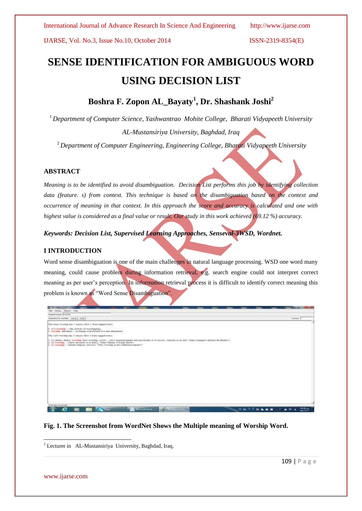# **SENSE IDENTIFICATION FOR AMBIGUOUS WORD USING DECISION LIST**

## **Boshra F. Zopon AL\_Bayaty<sup>1</sup> , Dr. Shashank Joshi<sup>2</sup>**

<sup>1</sup> *Department of Computer Science, Yashwantrao Mohite College, Bharati Vidyapeeth University AL-Mustansiriya University, Baghdad, Iraq*

<sup>2</sup> *Department of Computer Engineering, Engineering College, Bharati Vidyapeeth University*

### **ABSTRACT**

*Meaning is to be identified to avoid disambiguation. Decision List performs this job by identifying collection data (feature. s) from context. This technique is based on the disambiguation based on the context and occurrence of meaning in that context. In this approach the score and accuracy is calculated and one with highest value is considered as a final value or result. Our study in this work achieved (69.12 %) accuracy.*

*Keywords: Decision List, Supervised Learning Approaches, Senseval-3WSD, Wordnet.*

#### **I INTRODUCTION**

Word sense disambiguation is one of the main challenges in natural language processing. WSD one word many meaning, could cause problem during information retrieval, e.g. search engine could not interpret correct meaning as per user's perception. In information retrieval process it is difficult to identify correct meaning this problem is known as "Word Sense Disambiguation".



### **Fig. 1. The Screenshot from WordNet Shows the Multiple meaning of Worship Word.**

**.** 

<sup>&</sup>lt;sup>1</sup> Lecturer in AL-Mustansiriya University, Baghdad, Iraq.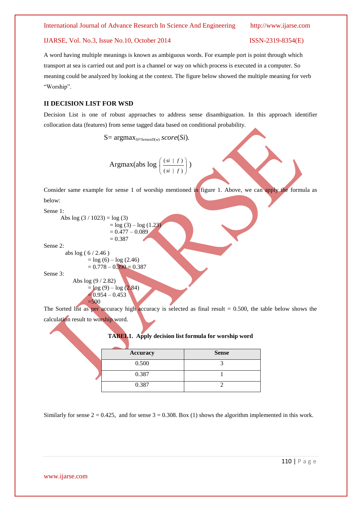A word having multiple meanings is known as ambiguous words. For example port is point through which transport at sea is carried out and port is a channel or way on which process is executed in a computer. So meaning could be analyzed by looking at the context. The figure below showed the multiple meaning for verb "Worship".

### **II DECISION LIST FOR WSD**

Decision List is one of robust approaches to address sense disambiguation. In this approach identifier collocation data (features) from sense tagged data based on conditional probability.

 $S=$  argmax<sub>*Si*∈*SensesD*(*w*)</sub>  $score(Si)$ .

$$
\text{Argmax}(\text{abs log}\left(\frac{(si \mid f)}{(si \mid f)}\right))
$$

Consider same example for sense 1 of worship mentioned in figure 1. Above, we can apply the formula as below:

Sense 1:

Abs  $log(3 / 1023) = log(3)$  $=$  log (3) – log (1.23)

```
= 0.477 - 0.089
```

```
= 0.387
```
Sense 2:

```
 abs log ( 6 / 2.46 )
= log (6) – log (2.46)
= 0.778 - 0.390 = 0.387
```
Sense 3:

 Abs log (9 / 2.82)  $=$  log (9) – log (2.84)  $-0.954 - 0.453$  $=500$ 

The Sorted list as per accuracy high accuracy is selected as final result  $= 0.500$ , the table below shows the calculation result to worship word.

#### **TABEL1. Apply decision list formula for worship word**

| <b>Accuracy</b> | <b>Sense</b> |
|-----------------|--------------|
| 0.500           |              |
| 0.387           |              |
| 0.387           |              |

Similarly for sense  $2 = 0.425$ , and for sense  $3 = 0.308$ . Box (1) shows the algorithm implemented in this work.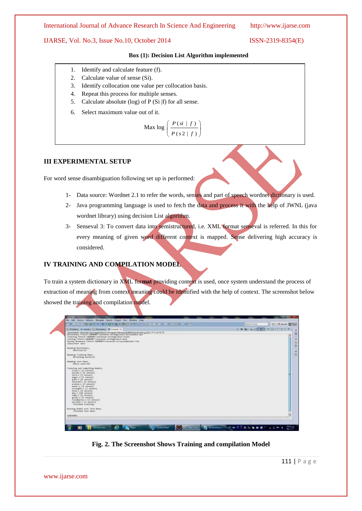#### **Box (1): Decision List Algorithm implemented**

- 1. Identify and calculate feature (f).
- 2. Calculate value of sense (Si).
- 3. Identify collocation one value per collocation basis.
- 4. Repeat this process for multiple senses.
- 5. Calculate absolute (log) of P (Si |f) for all sense.
- 6. Select maximum value out of it.

#### Max  $\log \left( \frac{P(s^2 + s^2)}{P(s^2 + s)} \right)$ J ◝ I l ſ  $(s2 | f)$  $\left( \textit{si} \mid f \right)$  $P(s2 | f$  $P$  (si |  $f$

#### **III EXPERIMENTAL SETUP**

For word sense disambiguation following set up is performed:

- 1- Data source: Wordnet 2.1 to refer the words, senses and part of speech wordnet dictionary is used.
- 2- Java programming language is used to fetch the data and process it with the help of JWNL (java wordnet library) using decision List algorithm.
- 3- Senseval 3: To convert data into semistructured, i.e. XML format senseval is referred. In this for every meaning of given word different context is mapped. Sense delivering high accuracy is considered.

#### **IV TRAINING AND COMPILATION MODEL**

To train a system dictionary in XML for**mat** providing context is used, once system understand the process of extraction of meaning from context meaning could be identified with the help of context. The screenshot below showed the training and compilation model.

| <b>UG + N. B + Q + Q + M + N. F. V + L.</b>                                                                                                                                                                                                                                                                                                                                                                                     | <b>Gaid Bores</b><br>TI CHIER N |
|---------------------------------------------------------------------------------------------------------------------------------------------------------------------------------------------------------------------------------------------------------------------------------------------------------------------------------------------------------------------------------------------------------------------------------|---------------------------------|
| 2. Problems or Security     Decombed 12 Consider 11                                                                                                                                                                                                                                                                                                                                                                             | M M LA USED - U - ry - - A      |
| Thermodel's Terrent Unit Application (CM import Packers' of Antiquities are La SELITT-12-4) . Y<br>Thirtymany Piland / WIMMET (write will be ling (Unit ), all theory and<br>Training Filesh/IslamsTiserance1-writingLishLi.train<br>Tworking F&Davill (ADMONSTranssexual avriling Store E. Seah<br>System Benguasa Fillerd; SADMONTTuernaval evisystembouwr. But<br>Sleepifier in r                                            |                                 |
| Ramfing Oiltionary.<br>Bettrieb+15                                                                                                                                                                                                                                                                                                                                                                                              |                                 |
| monting Truising buts:<br>Straining seconds                                                                                                                                                                                                                                                                                                                                                                                     |                                 |
| Seating Test Data.<br>Steel, cases-\$1                                                                                                                                                                                                                                                                                                                                                                                          |                                 |
| Training and committee models.<br>trust.v [e penses]<br>entries. N   N.100169<br>bord.n (3 serusi)<br>whear in £3 servers?<br>path.n. jd. aproved.<br>Reverselve 24 servers)<br>printer.m (3) amount?<br>serence (2) stresses)<br>straight.n II seemed!<br>halp r (# series)<br>Kircht [18 names]<br>name, c. 24 (recurs).<br>guilds /s [6 semper];<br>recompense. 6 EZ amous 5<br>paralla, c 13 senara).<br>Fishvand braining: |                                 |
| Remains Health news Twill Date:<br>finished limit data.                                                                                                                                                                                                                                                                                                                                                                         |                                 |
| PERTHMEL                                                                                                                                                                                                                                                                                                                                                                                                                        |                                 |
|                                                                                                                                                                                                                                                                                                                                                                                                                                 |                                 |

**Fig. 2. The Screenshot Shows Training and compilation Model**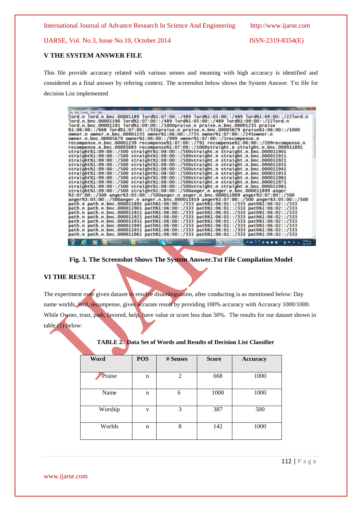International Journal of Advance Research In Science And Engineering http://www.ijarse.com

IJARSE, Vol. No.3, Issue No.10, October 2014 ISSN-2319-8354(E)

#### **V THE SYSTEM ANSWER FILE**

This file provide accuracy related with various senses and meaning with high accuracy is identified and considered as a final answer by refering context. The screenshot below shows the System Answer. Txt file for decision List implemented

| <b>LITARY COURS OF - ROBER</b>                                                           |
|------------------------------------------------------------------------------------------|
| frie date Former View Hotel                                                              |
| Tord.n lord.n.bnc.00001189 lord%1:07:00::/489 lord%1:05:00::/489 lord%1:09:00::/22lord.n |
| lord.n.bnc.00001190 lord%1:07:00::/489 lord%1:05:00::/489 lord%1:09:00::/22lord.n        |
| lord.n.bnc.00001191 lord%1:09:00::/1000praise.n praise.n.bnc.00001235 praise             |
| %1:06:00::/668 lord%1:07:00::/332praise.n praise.n.bnc.00005679 praise%1:06:00::/1000    |
| owner.n owner.n.bnc.00001235 owner%1:06:00::/755 owner%1:07:00::/245owner.n              |
| owner.n.bnc.00005679 owner%1:06:00::/999 owner%1:07:00::/1recompense.n                   |
| recompense.n.bnc.00001239 recompense%1:07:00::/791 recompense%1:06:00::/209recompense.n  |
| recompense.n.bnc.00005683 recompense%1:07:00::/1000straight.n straight.n.bnc.000011891   |
| straight%1:09:00::/500 straight%1:08:00::/500straight.n straight.n.bnc.000011901         |
| straight%1:09:00::/500 straight%1:08:00::/500straight.n straight.n.bnc.000011911         |
| straight%1:09:00::/500 straight%1:08:00::/500straight.n straight.n.bnc.000011921         |
| straight%1:09:00::/500 straight%1:08:00::/500straight.n straight.n.bnc.000011931         |
| straight%1:09:00::/500 straight%1:08:00::/500straight.n straight.n.bnc.000011941         |
| straight%1:09:00::/500 straight%1:08:00::/500straight.n straight.n.bnc.000011951         |
| straight%1:09:00::/500 straight%1:08:00::/500straight.n straight.n.bnc.000011961         |
| straight%1:09:00::/500 straight%1:08:00::/500straight.n straight.n.bnc.000011971         |
| straight%1:09:00::/500 straight%1:08:00::/500straight.n straight.n.bnc.000011981         |
| straight%1:09:00::/500 straight%1:08:00::/500anger.n anger.n.bnc.000011899 anger         |
| %3:07:00::/500 anger%3:05:00::/500anger.n anger.n.bnc.000011909 anger%3:07:00::/500      |
| anger%3:05:00::/500anger.n anger.n.bnc.000011919 anger%3:07:00::/500 anger%3:05:00::/500 |
| path.n path.n.bnc.000011891 path%1:06:00::/333 path%1:06:01::/333 path%1:06:02::/333     |
| path.n path.n.bnc.000011901 path%1:06:00::/333 path%1:06:01::/333 path%1:06:02::/333     |
| path.n path.n.bnc.000011911 path%1:06:00::/333 path%1:06:01::/333 path%1:06:02::/333     |
| path.n path.n.bnc.000011921 path%1:06:00::/333 path%1:06:01::/333 path%1:06:02::/333     |
| path.n path.n.bnc.000011931 path%1:06:00::/333 path%1:06:01::/333 path%1:06:02::/333     |
| path.n path.n.bnc.000011941 path%1:06:00::/333 path%1:06:01::/333 path%1:06:02::/333     |
| path.n path.n.bnc.000011951 path%1:06:00::/333<br>path%1:06:01::/333 path%1:06:02::/333  |
| path.n path.n.bnc.000011961 path%1:06:00::/333 path%1:06:01::/333 path%1:06:02::/333     |
| 12:45                                                                                    |
| Microsoft Ward -<br><b>Telephone Line</b>                                                |

**Fig. 3. The Screenshot Shows The System Answer.Txt File Compilation Model**

#### **VI THE RESULT**

The experiment over given dataset to resolve disambiguation, after conducting is as mentioned below: Day name worlds, lord, recompense, gives accurate result by providing 100% accuracy with Accuracy 1000/1000. While Owner, trust, path, favored, help, have value or score less than 50%. The results for our dataset shown in table (1) below:

| Word    | <b>POS</b> | # Senses       | <b>Score</b> | <b>Accuracy</b> |  |  |  |
|---------|------------|----------------|--------------|-----------------|--|--|--|
| Praise  | n          | $\overline{2}$ | 668          | 1000            |  |  |  |
| Name    | n          | 6              | 1000         | 1000            |  |  |  |
| Worship | V          | 3              | 387          | 500             |  |  |  |
| Worlds  | n          | 8              | 142          | 1000            |  |  |  |

**TABLE 2. Data Set of Words and Results of Decision List Classifier**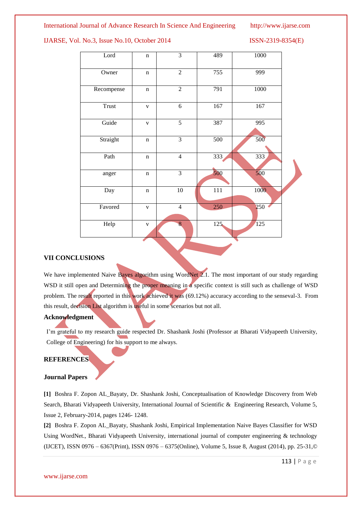

#### **VII CONCLUSIONS**

We have implemented Naive Bayes algorithm using WordNet 2.1. The most important of our study regarding WSD it still open and Determining the proper meaning in a specific context is still such as challenge of WSD problem. The result reported in this work achieved it was (69.12%) accuracy according to the senseval-3. From this result, decision List algorithm is useful in some scenarios but not all.

#### **Acknowledgment**

I'm grateful to my research guide respected Dr. Shashank Joshi (Professor at Bharati Vidyapeeth University, College of Engineering) for his support to me always.

#### **REFERENCES**

#### **Journal Papers**

**[1]** Boshra F. Zopon AL\_Bayaty, Dr. Shashank Joshi, Conceptualisation of Knowledge Discovery from Web Search, Bharati Vidyapeeth University, International Journal of Scientific & Engineering Research, Volume 5, Issue 2, February-2014, pages 1246- 1248.

**[2]** Boshra F. Zopon AL\_Bayaty, Shashank Joshi, Empirical Implementation Naive Bayes Classifier for WSD Using WordNet., Bharati Vidyapeeth University, international journal of computer engineering & technology (IJCET), ISSN 0976 – 6367(Print), ISSN 0976 – 6375(Online), Volume 5, Issue 8, August (2014), pp. 25-31,©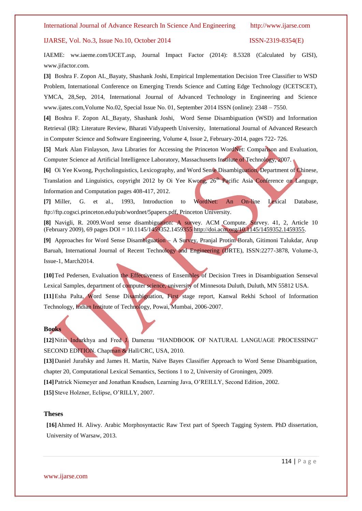IAEME: ww.iaeme.com/IJCET.asp, Journal Impact Factor (2014): 8.5328 (Calculated by GISI), [www.jifactor.com.](http://www.jifactor.com/)

**[3]** Boshra F. Zopon AL\_Bayaty, Shashank Joshi, Empirical Implementation Decision Tree Classifier to WSD Problem, International Conference on Emerging Trends Science and Cutting Edge Technology (ICETSCET), YMCA, 28,Sep, 2014, International Journal of Advanced Technology in Engineering and Science www.ijates.com,Volume No.02, Special Issue No. 01, September 2014 ISSN (online): 2348 – 7550.

**[4]** Boshra F. Zopon AL\_Bayaty, Shashank Joshi, Word Sense Disambiguation (WSD) and Information Retrieval (IR): Literature Review, Bharati Vidyapeeth University, International Journal of Advanced Research in Computer Science and Software Engineering, Volume 4, Issue 2, February-2014, pages 722- 726.

[5] Mark Alan Finlayson, Java Libraries for Accessing the Princeton WordNet: Comparison and Evaluation, Computer Science ad Artificial Intelligence Laboratory, Massachusetts Institute of Technology, 2007.

**[6]** Oi Yee Kwong, Psycholinguistics, Lexicography, and Word Sense Disambiguation, Department of Chinese, Translation and Linguistics, copyright 2012 by Oi Yee Kwong, 26<sup>th</sup> Pacific Asia Conference on Languge, Information and Computation pages 408-417, 2012.

**[7]** Miller, G. et al., 1993, Introduction to WordNet: An On-line Lexical Database, ftp://ftp.cogsci.princeton.edu/pub/wordnet/5papers.pdf, Princeton University.

**[8]** Navigli, R. 2009.Word sense disambiguation: A survey. ACM Compute. Survey. 41, 2, Article 10 (February 2009), 69 pages DOI = 10.1145/1459352.145935[5 http://doi.acm.org/10.1145/1459352.1459355.](http://doi.acm.org/10.1145/1459352.1459355)

**[9]** Approaches for Word Sense Disambiguation – A Survey, Pranjal Protim Borah, Gitimoni Talukdar, Arup Baruah, International Journal of Recent Technology and Engineering (IJRTE), ISSN:2277-3878, Volume-3, Issue-1, March2014.

**[10]**Ted Pedersen, Evaluation the Effectiveness of Ensembles of Decision Trees in Disambiguation Senseval Lexical Samples, department of computer science, university of Minnesota Duluth, Duluth, MN 55812 USA. **[11]**Esha Palta, Word Sense Disambiguation, First stage report, Kanwal Rekhi School of Information Technology, Indian Institute of Technology, Powai, Mumbai, 2006-2007.

#### **Books**

**[12]**Nitin Indurkhya and Fred J. Damerau "HANDBOOK OF NATURAL LANGUAGE PROCESSING" SECOND EDITION. Chapman & Hall/CRC, USA, 2010.

**[13]**Daniel Jurafsky and James H. Martin, Naïve Bayes Classifier Approach to Word Sense Disambiguation, chapter 20, Computational Lexical Semantics, Sections 1 to 2, University of Groningen, 2009.

**[14]**Patrick Niemeyer and Jonathan Knudsen, Learning Java, O'REILLY, Second Edition, 2002.

**[15]**Steve Holzner, Eclipse, O'RILLY, 2007.

#### **Theses**

**[16]**Ahmed H. Aliwy. Arabic Morphosyntactic Raw Text part of Speech Tagging System. PhD dissertation, University of Warsaw, 2013.